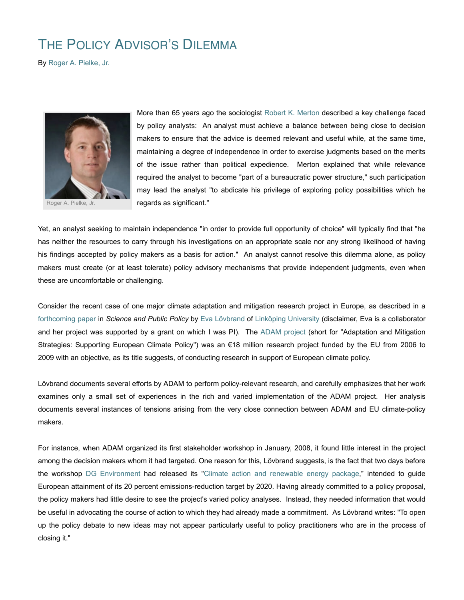## THE POLICY ADVISOR'S DILEMMA

By Roger A. Pielke, Jr.



Roger A. Pielke, Jr.

More than 65 years ago the sociologist Robert K. Merton described a key challenge faced by policy analysts: An analyst must achieve a balance between being close to decision makers to ensure that the advice is deemed relevant and useful while, at the same time, maintaining a degree of independence in order to exercise judgments based on the merits of the issue rather than political expedience. Merton explained that while relevance required the analyst to become "part of a bureaucratic power structure," such participation may lead the analyst "to abdicate his privilege of exploring policy possibilities which he regards as significant."

Yet, an analyst seeking to maintain independence "in order to provide full opportunity of choice" will typically find that "he has neither the resources to carry through his investigations on an appropriate scale nor any strong likelihood of having his findings accepted by policy makers as a basis for action." An analyst cannot resolve this dilemma alone, as policy makers must create (or at least tolerate) policy advisory mechanisms that provide independent judgments, even when these are uncomfortable or challenging.

Consider the recent case of one major climate adaptation and mitigation research project in Europe, as described in a forthcoming paper in *Science and Public Policy* by Eva Lövbrand of Linköping University (disclaimer, Eva is a collaborator and her project was supported by a grant on which I was PI). The ADAM project (short for "Adaptation and Mitigation Strategies: Supporting European Climate Policy") was an €18 million research project funded by the EU from 2006 to 2009 with an objective, as its title suggests, of conducting research in support of European climate policy.

Lövbrand documents several efforts by ADAM to perform policy-relevant research, and carefully emphasizes that her work examines only a small set of experiences in the rich and varied implementation of the ADAM project. Her analysis documents several instances of tensions arising from the very close connection between ADAM and EU climate-policy makers.

For instance, when ADAM organized its first stakeholder workshop in January, 2008, it found little interest in the project among the decision makers whom it had targeted. One reason for this, Lövbrand suggests, is the fact that two days before the workshop DG Environment had released its "Climate action and renewable energy package," intended to guide European attainment of its 20 percent emissions-reduction target by 2020. Having already committed to a policy proposal, the policy makers had little desire to see the project's varied policy analyses. Instead, they needed information that would be useful in advocating the course of action to which they had already made a commitment. As Lövbrand writes: "To open up the policy debate to new ideas may not appear particularly useful to policy practitioners who are in the process of closing it."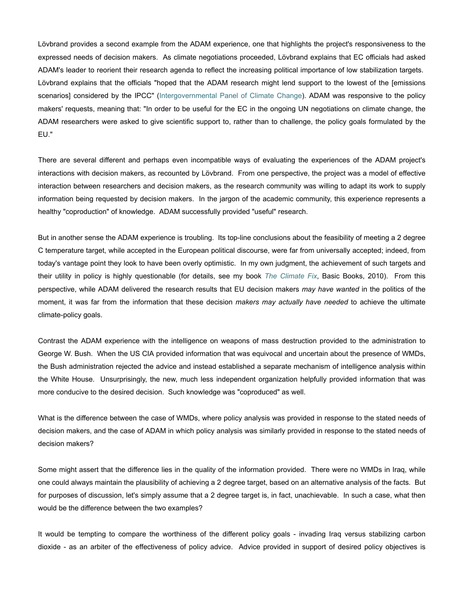Lövbrand provides a second example from the ADAM experience, one that highlights the project's responsiveness to the expressed needs of decision makers. As climate negotiations proceeded, Lövbrand explains that EC officials had asked ADAM's leader to reorient their research agenda to reflect the increasing political importance of low stabilization targets. Lövbrand explains that the officials "hoped that the ADAM research might lend support to the lowest of the [emissions scenarios] considered by the IPCC" (Intergovernmental Panel of Climate Change). ADAM was responsive to the policy makers' requests, meaning that: "In order to be useful for the EC in the ongoing UN negotiations on climate change, the ADAM researchers were asked to give scientific support to, rather than to challenge, the policy goals formulated by the EU."

There are several different and perhaps even incompatible ways of evaluating the experiences of the ADAM project's interactions with decision makers, as recounted by Lövbrand. From one perspective, the project was a model of effective interaction between researchers and decision makers, as the research community was willing to adapt its work to supply information being requested by decision makers. In the jargon of the academic community, this experience represents a healthy "coproduction" of knowledge. ADAM successfully provided "useful" research.

But in another sense the ADAM experience is troubling. Its top-line conclusions about the feasibility of meeting a 2 degree C temperature target, while accepted in the European political discourse, were far from universally accepted; indeed, from today's vantage point they look to have been overly optimistic. In my own judgment, the achievement of such targets and their utility in policy is highly questionable (for details, see my book *The Climate Fix*, Basic Books, 2010). From this perspective, while ADAM delivered the research results that EU decision makers *may have wanted* in the politics of the moment, it was far from the information that these decision *makers may actually have needed* to achieve the ultimate climate-policy goals.

Contrast the ADAM experience with the intelligence on weapons of mass destruction provided to the administration to George W. Bush. When the US CIA provided information that was equivocal and uncertain about the presence of WMDs, the Bush administration rejected the advice and instead established a separate mechanism of intelligence analysis within the White House. Unsurprisingly, the new, much less independent organization helpfully provided information that was more conducive to the desired decision. Such knowledge was "coproduced" as well.

What is the difference between the case of WMDs, where policy analysis was provided in response to the stated needs of decision makers, and the case of ADAM in which policy analysis was similarly provided in response to the stated needs of decision makers?

Some might assert that the difference lies in the quality of the information provided. There were no WMDs in Iraq, while one could always maintain the plausibility of achieving a 2 degree target, based on an alternative analysis of the facts. But for purposes of discussion, let's simply assume that a 2 degree target is, in fact, unachievable. In such a case, what then would be the difference between the two examples?

It would be tempting to compare the worthiness of the different policy goals - invading Iraq versus stabilizing carbon dioxide - as an arbiter of the effectiveness of policy advice. Advice provided in support of desired policy objectives is